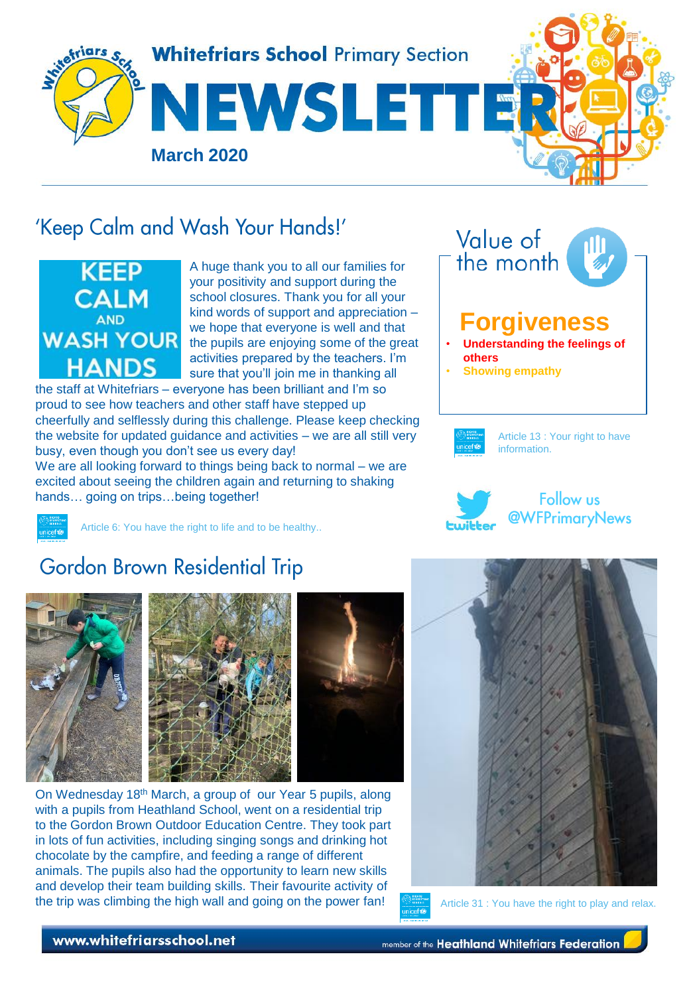

# 'Keep Calm and Wash Your Hands!'



A huge thank you to all our families for your positivity and support during the school closures. Thank you for all your kind words of support and appreciation – we hope that everyone is well and that the pupils are enjoying some of the great activities prepared by the teachers. I'm sure that you'll join me in thanking all

the staff at Whitefriars – everyone has been brilliant and I'm so proud to see how teachers and other staff have stepped up cheerfully and selflessly during this challenge. Please keep checking the website for updated guidance and activities – we are all still very busy, even though you don't see us every day!

We are all looking forward to things being back to normal – we are excited about seeing the children again and returning to shaking hands... going on trips...being together!

Article 6: You have the right to life and to be healthy..





# **Gordon Brown Residential Trip**



On Wednesday 18th March, a group of our Year 5 pupils, along with a pupils from Heathland School, went on a residential trip to the Gordon Brown Outdoor Education Centre. They took part in lots of fun activities, including singing songs and drinking hot chocolate by the campfire, and feeding a range of different animals. The pupils also had the opportunity to learn new skills and develop their team building skills. Their favourite activity of the trip was climbing the high wall and going on the power fan! Article 31 : You have the right to play and relax.



### www.whitefriarsschool.net

member of the Heathland Whitefriars Federation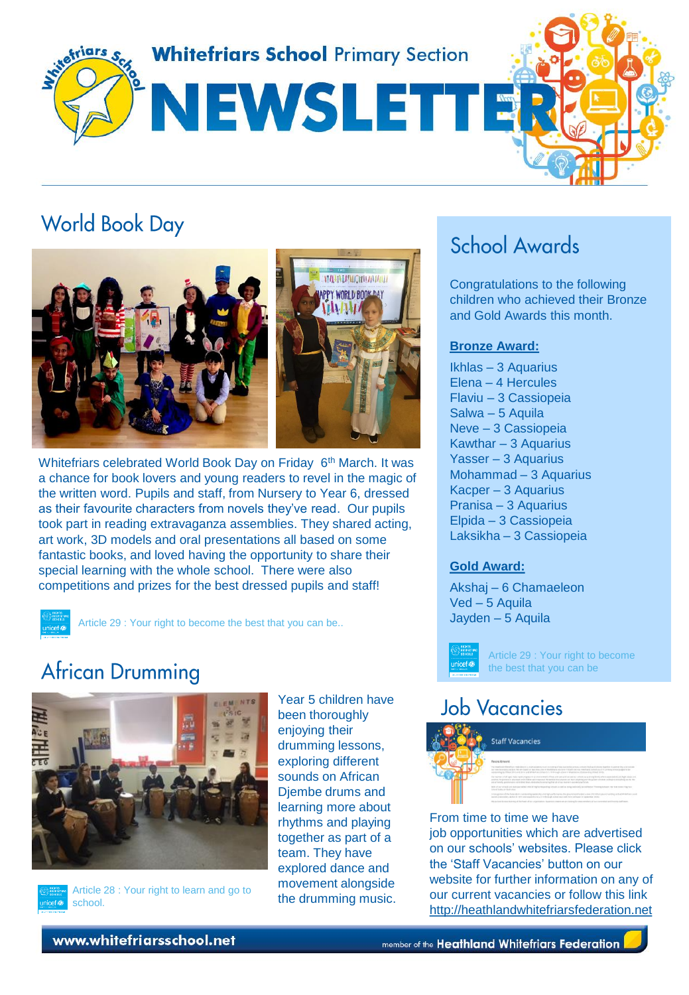

# **World Book Day**





Whitefriars celebrated World Book Day on Friday 6<sup>th</sup> March. It was a chance for book lovers and young readers to revel in the magic of the written word. Pupils and staff, from Nursery to Year 6, dressed as their favourite characters from novels they've read. Our pupils took part in reading extravaganza assemblies. They shared acting, art work, 3D models and oral presentations all based on some fantastic books, and loved having the opportunity to share their special learning with the whole school. There were also competitions and prizes for the best dressed pupils and staff!

Article 29 : Your right to become the best that you can be..

### **African Drumming**





school.

Year 5 children have been thoroughly enjoying their drumming lessons, exploring different sounds on African Djembe drums and learning more about rhythms and playing together as part of a team. They have explored dance and movement alongside the drumming music.

## School Awards

Congratulations to the following children who achieved their Bronze and Gold Awards this month.

#### **Bronze Award:**

Ikhlas – 3 Aquarius Elena – 4 Hercules Flaviu – 3 Cassiopeia Salwa – 5 Aquila Neve – 3 Cassiopeia Kawthar – 3 Aquarius Yasser – 3 Aquarius Mohammad – 3 Aquarius Kacper – 3 Aquarius Pranisa – 3 Aquarius Elpida – 3 Cassiopeia Laksikha – 3 Cassiopeia

### **Gold Award:**

Akshaj – 6 Chamaeleon Ved – 5 Aquila Jayden – 5 Aquila



Article 29 : Your right to become the best that you can be

### **Job Vacancies**



From time to time we have job opportunities which are advertised on our schools' websites. Please click the 'Staff Vacancies' button on our website for further information on any of our current vacancies or follow this link [http://heathlandwhitefriarsfederation.net](http://heathlandwhitefriarsfederation.net/)

www.whitefriarsschool.net